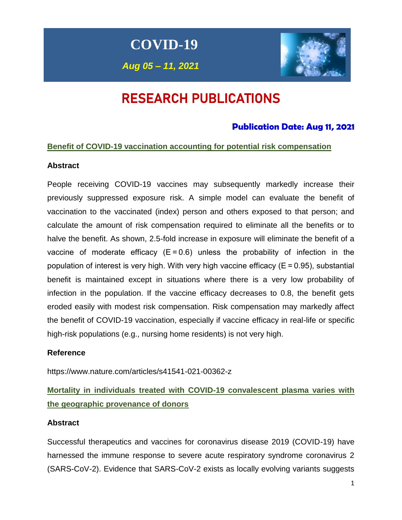**COVID-19**

*Aug 05 – 11, 2021*



# RESEARCH PUBLICATIONS

### **Publication Date: Aug 11, 2021**

#### **Benefit of COVID-19 vaccination accounting for potential risk compensation**

#### **Abstract**

People receiving COVID-19 vaccines may subsequently markedly increase their previously suppressed exposure risk. A simple model can evaluate the benefit of vaccination to the vaccinated (index) person and others exposed to that person; and calculate the amount of risk compensation required to eliminate all the benefits or to halve the benefit. As shown, 2.5-fold increase in exposure will eliminate the benefit of a vaccine of moderate efficacy  $(E = 0.6)$  unless the probability of infection in the population of interest is very high. With very high vaccine efficacy ( $E = 0.95$ ), substantial benefit is maintained except in situations where there is a very low probability of infection in the population. If the vaccine efficacy decreases to 0.8, the benefit gets eroded easily with modest risk compensation. Risk compensation may markedly affect the benefit of COVID-19 vaccination, especially if vaccine efficacy in real-life or specific high-risk populations (e.g., nursing home residents) is not very high.

#### **Reference**

https://www.nature.com/articles/s41541-021-00362-z

**Mortality in individuals treated with COVID-19 convalescent plasma varies with the geographic provenance of donors** 

#### **Abstract**

Successful therapeutics and vaccines for coronavirus disease 2019 (COVID-19) have harnessed the immune response to severe acute respiratory syndrome coronavirus 2 (SARS-CoV-2). Evidence that SARS-CoV-2 exists as locally evolving variants suggests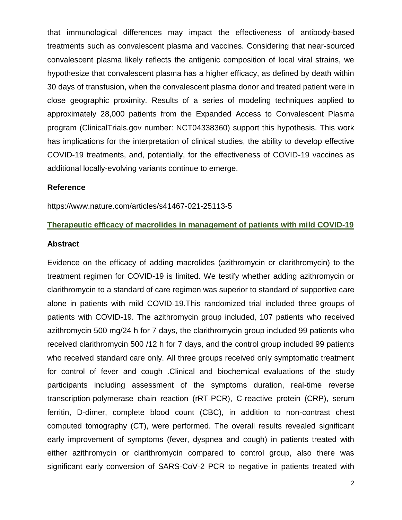that immunological differences may impact the effectiveness of antibody-based treatments such as convalescent plasma and vaccines. Considering that near-sourced convalescent plasma likely reflects the antigenic composition of local viral strains, we hypothesize that convalescent plasma has a higher efficacy, as defined by death within 30 days of transfusion, when the convalescent plasma donor and treated patient were in close geographic proximity. Results of a series of modeling techniques applied to approximately 28,000 patients from the Expanded Access to Convalescent Plasma program (ClinicalTrials.gov number: NCT04338360) support this hypothesis. This work has implications for the interpretation of clinical studies, the ability to develop effective COVID-19 treatments, and, potentially, for the effectiveness of COVID-19 vaccines as additional locally-evolving variants continue to emerge.

#### **Reference**

https://www.nature.com/articles/s41467-021-25113-5

#### **Therapeutic efficacy of macrolides in management of patients with mild COVID-19**

#### **Abstract**

Evidence on the efficacy of adding macrolides (azithromycin or clarithromycin) to the treatment regimen for COVID-19 is limited. We testify whether adding azithromycin or clarithromycin to a standard of care regimen was superior to standard of supportive care alone in patients with mild COVID-19.This randomized trial included three groups of patients with COVID-19. The azithromycin group included, 107 patients who received azithromycin 500 mg/24 h for 7 days, the clarithromycin group included 99 patients who received clarithromycin 500 /12 h for 7 days, and the control group included 99 patients who received standard care only. All three groups received only symptomatic treatment for control of fever and cough .Clinical and biochemical evaluations of the study participants including assessment of the symptoms duration, real-time reverse transcription-polymerase chain reaction (rRT-PCR), C-reactive protein (CRP), serum ferritin, D-dimer, complete blood count (CBC), in addition to non-contrast chest computed tomography (CT), were performed. The overall results revealed significant early improvement of symptoms (fever, dyspnea and cough) in patients treated with either azithromycin or clarithromycin compared to control group, also there was significant early conversion of SARS-CoV-2 PCR to negative in patients treated with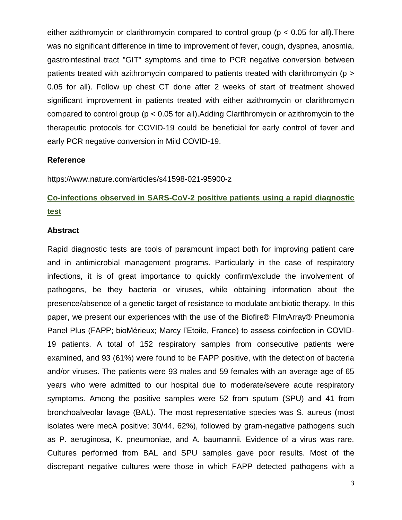either azithromycin or clarithromycin compared to control group ( $p < 0.05$  for all). There was no significant difference in time to improvement of fever, cough, dyspnea, anosmia, gastrointestinal tract "GIT" symptoms and time to PCR negative conversion between patients treated with azithromycin compared to patients treated with clarithromycin (p > 0.05 for all). Follow up chest CT done after 2 weeks of start of treatment showed significant improvement in patients treated with either azithromycin or clarithromycin compared to control group (p < 0.05 for all).Adding Clarithromycin or azithromycin to the therapeutic protocols for COVID-19 could be beneficial for early control of fever and early PCR negative conversion in Mild COVID-19.

#### **Reference**

https://www.nature.com/articles/s41598-021-95900-z

### **Co-infections observed in SARS-CoV-2 positive patients using a rapid diagnostic test**

#### **Abstract**

Rapid diagnostic tests are tools of paramount impact both for improving patient care and in antimicrobial management programs. Particularly in the case of respiratory infections, it is of great importance to quickly confirm/exclude the involvement of pathogens, be they bacteria or viruses, while obtaining information about the presence/absence of a genetic target of resistance to modulate antibiotic therapy. In this paper, we present our experiences with the use of the Biofire® FilmArray® Pneumonia Panel Plus (FAPP; bioMérieux; Marcy l'Etoile, France) to assess coinfection in COVID-19 patients. A total of 152 respiratory samples from consecutive patients were examined, and 93 (61%) were found to be FAPP positive, with the detection of bacteria and/or viruses. The patients were 93 males and 59 females with an average age of 65 years who were admitted to our hospital due to moderate/severe acute respiratory symptoms. Among the positive samples were 52 from sputum (SPU) and 41 from bronchoalveolar lavage (BAL). The most representative species was S. aureus (most isolates were mecA positive; 30/44, 62%), followed by gram-negative pathogens such as P. aeruginosa, K. pneumoniae, and A. baumannii. Evidence of a virus was rare. Cultures performed from BAL and SPU samples gave poor results. Most of the discrepant negative cultures were those in which FAPP detected pathogens with a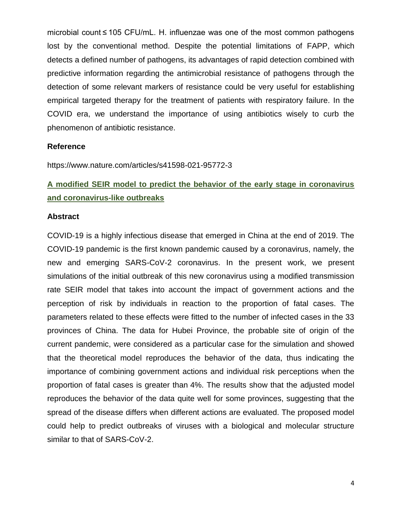microbial count ≤ 105 CFU/mL. H. influenzae was one of the most common pathogens lost by the conventional method. Despite the potential limitations of FAPP, which detects a defined number of pathogens, its advantages of rapid detection combined with predictive information regarding the antimicrobial resistance of pathogens through the detection of some relevant markers of resistance could be very useful for establishing empirical targeted therapy for the treatment of patients with respiratory failure. In the COVID era, we understand the importance of using antibiotics wisely to curb the phenomenon of antibiotic resistance.

#### **Reference**

https://www.nature.com/articles/s41598-021-95772-3

### **A modified SEIR model to predict the behavior of the early stage in coronavirus and coronavirus-like outbreaks**

#### **Abstract**

COVID-19 is a highly infectious disease that emerged in China at the end of 2019. The COVID-19 pandemic is the first known pandemic caused by a coronavirus, namely, the new and emerging SARS-CoV-2 coronavirus. In the present work, we present simulations of the initial outbreak of this new coronavirus using a modified transmission rate SEIR model that takes into account the impact of government actions and the perception of risk by individuals in reaction to the proportion of fatal cases. The parameters related to these effects were fitted to the number of infected cases in the 33 provinces of China. The data for Hubei Province, the probable site of origin of the current pandemic, were considered as a particular case for the simulation and showed that the theoretical model reproduces the behavior of the data, thus indicating the importance of combining government actions and individual risk perceptions when the proportion of fatal cases is greater than 4%. The results show that the adjusted model reproduces the behavior of the data quite well for some provinces, suggesting that the spread of the disease differs when different actions are evaluated. The proposed model could help to predict outbreaks of viruses with a biological and molecular structure similar to that of SARS-CoV-2.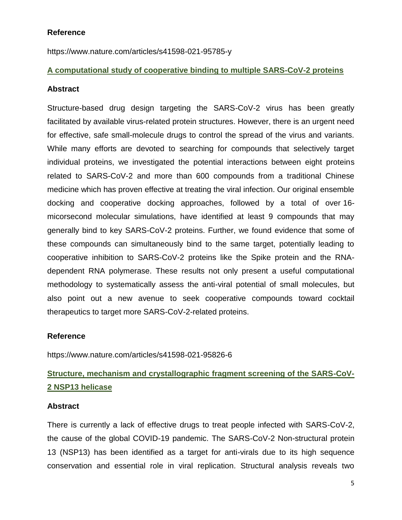#### **Reference**

https://www.nature.com/articles/s41598-021-95785-y

#### **A computational study of cooperative binding to multiple SARS-CoV-2 proteins**

#### **Abstract**

Structure-based drug design targeting the SARS-CoV-2 virus has been greatly facilitated by available virus-related protein structures. However, there is an urgent need for effective, safe small-molecule drugs to control the spread of the virus and variants. While many efforts are devoted to searching for compounds that selectively target individual proteins, we investigated the potential interactions between eight proteins related to SARS-CoV-2 and more than 600 compounds from a traditional Chinese medicine which has proven effective at treating the viral infection. Our original ensemble docking and cooperative docking approaches, followed by a total of over 16 micorsecond molecular simulations, have identified at least 9 compounds that may generally bind to key SARS-CoV-2 proteins. Further, we found evidence that some of these compounds can simultaneously bind to the same target, potentially leading to cooperative inhibition to SARS-CoV-2 proteins like the Spike protein and the RNAdependent RNA polymerase. These results not only present a useful computational methodology to systematically assess the anti-viral potential of small molecules, but also point out a new avenue to seek cooperative compounds toward cocktail therapeutics to target more SARS-CoV-2-related proteins.

#### **Reference**

https://www.nature.com/articles/s41598-021-95826-6

### **Structure, mechanism and crystallographic fragment screening of the SARS-CoV-2 NSP13 helicase**

#### **Abstract**

There is currently a lack of effective drugs to treat people infected with SARS-CoV-2, the cause of the global COVID-19 pandemic. The SARS-CoV-2 Non-structural protein 13 (NSP13) has been identified as a target for anti-virals due to its high sequence conservation and essential role in viral replication. Structural analysis reveals two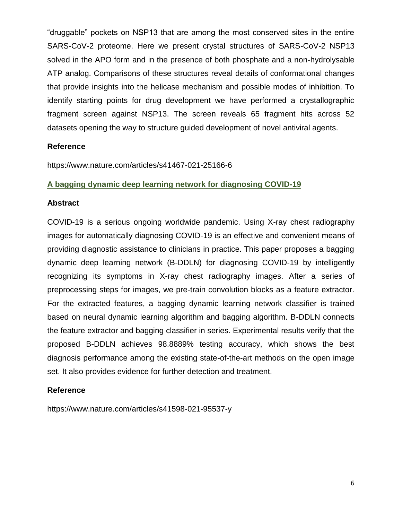"druggable" pockets on NSP13 that are among the most conserved sites in the entire SARS-CoV-2 proteome. Here we present crystal structures of SARS-CoV-2 NSP13 solved in the APO form and in the presence of both phosphate and a non-hydrolysable ATP analog. Comparisons of these structures reveal details of conformational changes that provide insights into the helicase mechanism and possible modes of inhibition. To identify starting points for drug development we have performed a crystallographic fragment screen against NSP13. The screen reveals 65 fragment hits across 52 datasets opening the way to structure guided development of novel antiviral agents.

#### **Reference**

https://www.nature.com/articles/s41467-021-25166-6

#### **A bagging dynamic deep learning network for diagnosing COVID-19**

#### **Abstract**

COVID-19 is a serious ongoing worldwide pandemic. Using X-ray chest radiography images for automatically diagnosing COVID-19 is an effective and convenient means of providing diagnostic assistance to clinicians in practice. This paper proposes a bagging dynamic deep learning network (B-DDLN) for diagnosing COVID-19 by intelligently recognizing its symptoms in X-ray chest radiography images. After a series of preprocessing steps for images, we pre-train convolution blocks as a feature extractor. For the extracted features, a bagging dynamic learning network classifier is trained based on neural dynamic learning algorithm and bagging algorithm. B-DDLN connects the feature extractor and bagging classifier in series. Experimental results verify that the proposed B-DDLN achieves 98.8889% testing accuracy, which shows the best diagnosis performance among the existing state-of-the-art methods on the open image set. It also provides evidence for further detection and treatment.

#### **Reference**

https://www.nature.com/articles/s41598-021-95537-y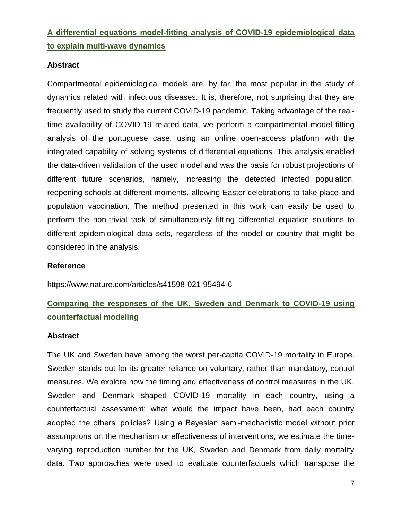### **A differential equations model-fitting analysis of COVID-19 epidemiological data to explain multi-wave dynamics**

#### **Abstract**

Compartmental epidemiological models are, by far, the most popular in the study of dynamics related with infectious diseases. It is, therefore, not surprising that they are frequently used to study the current COVID-19 pandemic. Taking advantage of the realtime availability of COVID-19 related data, we perform a compartmental model fitting analysis of the portuguese case, using an online open-access platform with the integrated capability of solving systems of differential equations. This analysis enabled the data-driven validation of the used model and was the basis for robust projections of different future scenarios, namely, increasing the detected infected population, reopening schools at different moments, allowing Easter celebrations to take place and population vaccination. The method presented in this work can easily be used to perform the non-trivial task of simultaneously fitting differential equation solutions to different epidemiological data sets, regardless of the model or country that might be considered in the analysis.

#### **Reference**

https://www.nature.com/articles/s41598-021-95494-6

### **Comparing the responses of the UK, Sweden and Denmark to COVID-19 using counterfactual modeling**

#### **Abstract**

The UK and Sweden have among the worst per-capita COVID-19 mortality in Europe. Sweden stands out for its greater reliance on voluntary, rather than mandatory, control measures. We explore how the timing and effectiveness of control measures in the UK, Sweden and Denmark shaped COVID-19 mortality in each country, using a counterfactual assessment: what would the impact have been, had each country adopted the others' policies? Using a Bayesian semi-mechanistic model without prior assumptions on the mechanism or effectiveness of interventions, we estimate the timevarying reproduction number for the UK, Sweden and Denmark from daily mortality data. Two approaches were used to evaluate counterfactuals which transpose the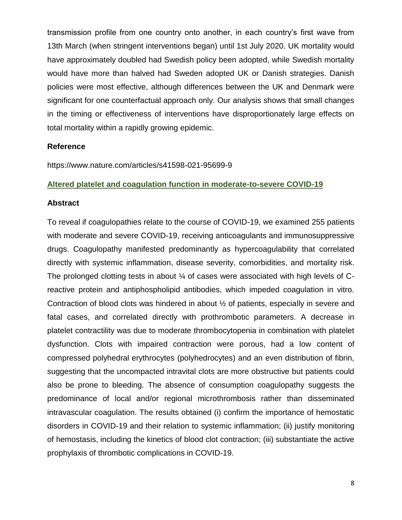transmission profile from one country onto another, in each country's first wave from 13th March (when stringent interventions began) until 1st July 2020. UK mortality would have approximately doubled had Swedish policy been adopted, while Swedish mortality would have more than halved had Sweden adopted UK or Danish strategies. Danish policies were most effective, although differences between the UK and Denmark were significant for one counterfactual approach only. Our analysis shows that small changes in the timing or effectiveness of interventions have disproportionately large effects on total mortality within a rapidly growing epidemic.

#### **Reference**

https://www.nature.com/articles/s41598-021-95699-9

#### **Altered platelet and coagulation function in moderate-to-severe COVID-19**

#### **Abstract**

To reveal if coagulopathies relate to the course of COVID-19, we examined 255 patients with moderate and severe COVID-19, receiving anticoagulants and immunosuppressive drugs. Coagulopathy manifested predominantly as hypercoagulability that correlated directly with systemic inflammation, disease severity, comorbidities, and mortality risk. The prolonged clotting tests in about ¼ of cases were associated with high levels of Creactive protein and antiphospholipid antibodies, which impeded coagulation in vitro. Contraction of blood clots was hindered in about ½ of patients, especially in severe and fatal cases, and correlated directly with prothrombotic parameters. A decrease in platelet contractility was due to moderate thrombocytopenia in combination with platelet dysfunction. Clots with impaired contraction were porous, had a low content of compressed polyhedral erythrocytes (polyhedrocytes) and an even distribution of fibrin, suggesting that the uncompacted intravital clots are more obstructive but patients could also be prone to bleeding. The absence of consumption coagulopathy suggests the predominance of local and/or regional microthrombosis rather than disseminated intravascular coagulation. The results obtained (i) confirm the importance of hemostatic disorders in COVID-19 and their relation to systemic inflammation; (ii) justify monitoring of hemostasis, including the kinetics of blood clot contraction; (iii) substantiate the active prophylaxis of thrombotic complications in COVID-19.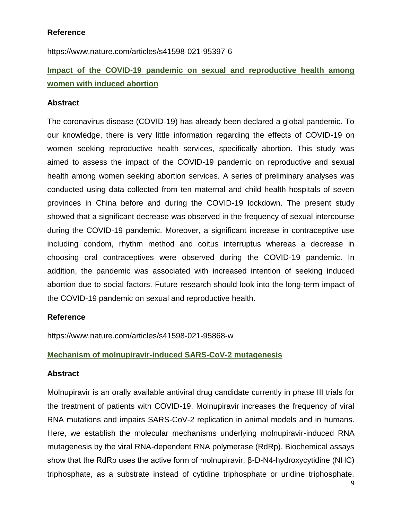#### **Reference**

https://www.nature.com/articles/s41598-021-95397-6

### **Impact of the COVID-19 pandemic on sexual and reproductive health among women with induced abortion**

#### **Abstract**

The coronavirus disease (COVID-19) has already been declared a global pandemic. To our knowledge, there is very little information regarding the effects of COVID-19 on women seeking reproductive health services, specifically abortion. This study was aimed to assess the impact of the COVID-19 pandemic on reproductive and sexual health among women seeking abortion services. A series of preliminary analyses was conducted using data collected from ten maternal and child health hospitals of seven provinces in China before and during the COVID-19 lockdown. The present study showed that a significant decrease was observed in the frequency of sexual intercourse during the COVID-19 pandemic. Moreover, a significant increase in contraceptive use including condom, rhythm method and coitus interruptus whereas a decrease in choosing oral contraceptives were observed during the COVID-19 pandemic. In addition, the pandemic was associated with increased intention of seeking induced abortion due to social factors. Future research should look into the long-term impact of the COVID-19 pandemic on sexual and reproductive health.

#### **Reference**

https://www.nature.com/articles/s41598-021-95868-w

#### **Mechanism of molnupiravir-induced SARS-CoV-2 mutagenesis**

#### **Abstract**

Molnupiravir is an orally available antiviral drug candidate currently in phase III trials for the treatment of patients with COVID-19. Molnupiravir increases the frequency of viral RNA mutations and impairs SARS-CoV-2 replication in animal models and in humans. Here, we establish the molecular mechanisms underlying molnupiravir-induced RNA mutagenesis by the viral RNA-dependent RNA polymerase (RdRp). Biochemical assays show that the RdRp uses the active form of molnupiravir, β-D-N4-hydroxycytidine (NHC) triphosphate, as a substrate instead of cytidine triphosphate or uridine triphosphate.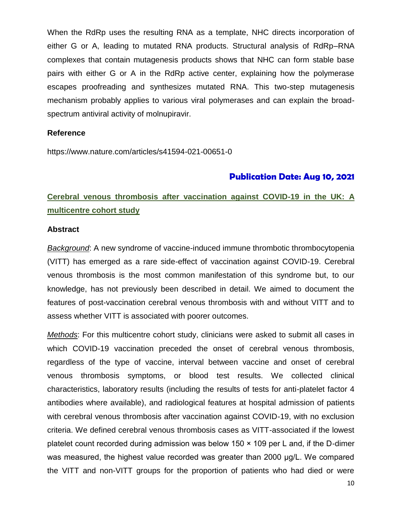When the RdRp uses the resulting RNA as a template, NHC directs incorporation of either G or A, leading to mutated RNA products. Structural analysis of RdRp–RNA complexes that contain mutagenesis products shows that NHC can form stable base pairs with either G or A in the RdRp active center, explaining how the polymerase escapes proofreading and synthesizes mutated RNA. This two-step mutagenesis mechanism probably applies to various viral polymerases and can explain the broadspectrum antiviral activity of molnupiravir.

#### **Reference**

https://www.nature.com/articles/s41594-021-00651-0

#### **Publication Date: Aug 10, 2021**

### **Cerebral venous thrombosis after vaccination against COVID-19 in the UK: A multicentre cohort study**

#### **Abstract**

*Background*: A new syndrome of vaccine-induced immune thrombotic thrombocytopenia (VITT) has emerged as a rare side-effect of vaccination against COVID-19. Cerebral venous thrombosis is the most common manifestation of this syndrome but, to our knowledge, has not previously been described in detail. We aimed to document the features of post-vaccination cerebral venous thrombosis with and without VITT and to assess whether VITT is associated with poorer outcomes.

*Methods*: For this multicentre cohort study, clinicians were asked to submit all cases in which COVID-19 vaccination preceded the onset of cerebral venous thrombosis, regardless of the type of vaccine, interval between vaccine and onset of cerebral venous thrombosis symptoms, or blood test results. We collected clinical characteristics, laboratory results (including the results of tests for anti-platelet factor 4 antibodies where available), and radiological features at hospital admission of patients with cerebral venous thrombosis after vaccination against COVID-19, with no exclusion criteria. We defined cerebral venous thrombosis cases as VITT-associated if the lowest platelet count recorded during admission was below 150 × 109 per L and, if the D-dimer was measured, the highest value recorded was greater than 2000 μg/L. We compared the VITT and non-VITT groups for the proportion of patients who had died or were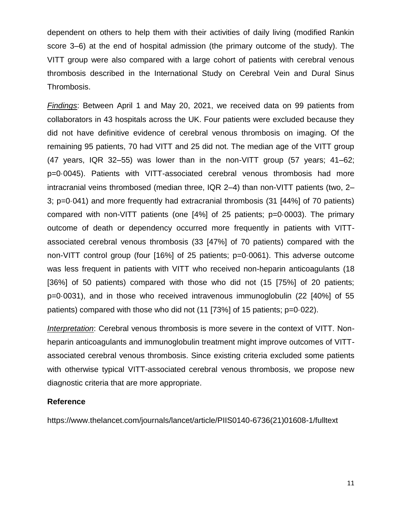dependent on others to help them with their activities of daily living (modified Rankin score 3–6) at the end of hospital admission (the primary outcome of the study). The VITT group were also compared with a large cohort of patients with cerebral venous thrombosis described in the International Study on Cerebral Vein and Dural Sinus Thrombosis.

*Findings*: Between April 1 and May 20, 2021, we received data on 99 patients from collaborators in 43 hospitals across the UK. Four patients were excluded because they did not have definitive evidence of cerebral venous thrombosis on imaging. Of the remaining 95 patients, 70 had VITT and 25 did not. The median age of the VITT group (47 years, IQR 32–55) was lower than in the non-VITT group (57 years; 41–62; p=0·0045). Patients with VITT-associated cerebral venous thrombosis had more intracranial veins thrombosed (median three, IQR 2–4) than non-VITT patients (two, 2– 3; p=0·041) and more frequently had extracranial thrombosis (31 [44%] of 70 patients) compared with non-VITT patients (one [4%] of 25 patients; p=0·0003). The primary outcome of death or dependency occurred more frequently in patients with VITTassociated cerebral venous thrombosis (33 [47%] of 70 patients) compared with the non-VITT control group (four [16%] of 25 patients; p=0·0061). This adverse outcome was less frequent in patients with VITT who received non-heparin anticoagulants (18 [36%] of 50 patients) compared with those who did not (15 [75%] of 20 patients; p=0·0031), and in those who received intravenous immunoglobulin (22 [40%] of 55 patients) compared with those who did not (11 [73%] of 15 patients; p=0·022).

*Interpretation*: Cerebral venous thrombosis is more severe in the context of VITT. Nonheparin anticoagulants and immunoglobulin treatment might improve outcomes of VITTassociated cerebral venous thrombosis. Since existing criteria excluded some patients with otherwise typical VITT-associated cerebral venous thrombosis, we propose new diagnostic criteria that are more appropriate.

#### **Reference**

https://www.thelancet.com/journals/lancet/article/PIIS0140-6736(21)01608-1/fulltext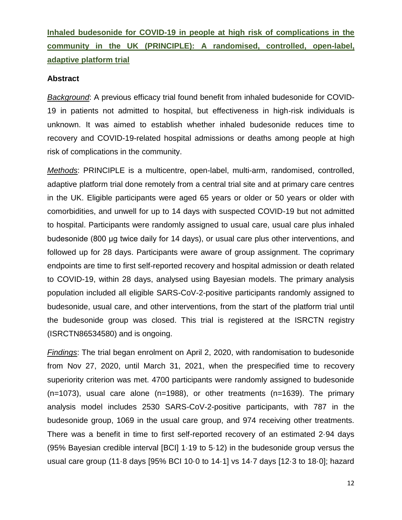**Inhaled budesonide for COVID-19 in people at high risk of complications in the community in the UK (PRINCIPLE): A randomised, controlled, open-label, adaptive platform trial**

#### **Abstract**

*Background*: A previous efficacy trial found benefit from inhaled budesonide for COVID-19 in patients not admitted to hospital, but effectiveness in high-risk individuals is unknown. It was aimed to establish whether inhaled budesonide reduces time to recovery and COVID-19-related hospital admissions or deaths among people at high risk of complications in the community.

*Methods*: PRINCIPLE is a multicentre, open-label, multi-arm, randomised, controlled, adaptive platform trial done remotely from a central trial site and at primary care centres in the UK. Eligible participants were aged 65 years or older or 50 years or older with comorbidities, and unwell for up to 14 days with suspected COVID-19 but not admitted to hospital. Participants were randomly assigned to usual care, usual care plus inhaled budesonide (800 μg twice daily for 14 days), or usual care plus other interventions, and followed up for 28 days. Participants were aware of group assignment. The coprimary endpoints are time to first self-reported recovery and hospital admission or death related to COVID-19, within 28 days, analysed using Bayesian models. The primary analysis population included all eligible SARS-CoV-2-positive participants randomly assigned to budesonide, usual care, and other interventions, from the start of the platform trial until the budesonide group was closed. This trial is registered at the ISRCTN registry (ISRCTN86534580) and is ongoing.

*Findings*: The trial began enrolment on April 2, 2020, with randomisation to budesonide from Nov 27, 2020, until March 31, 2021, when the prespecified time to recovery superiority criterion was met. 4700 participants were randomly assigned to budesonide (n=1073), usual care alone (n=1988), or other treatments (n=1639). The primary analysis model includes 2530 SARS-CoV-2-positive participants, with 787 in the budesonide group, 1069 in the usual care group, and 974 receiving other treatments. There was a benefit in time to first self-reported recovery of an estimated 2·94 days (95% Bayesian credible interval [BCI] 1·19 to 5·12) in the budesonide group versus the usual care group (11·8 days [95% BCI 10·0 to 14·1] vs 14·7 days [12·3 to 18·0]; hazard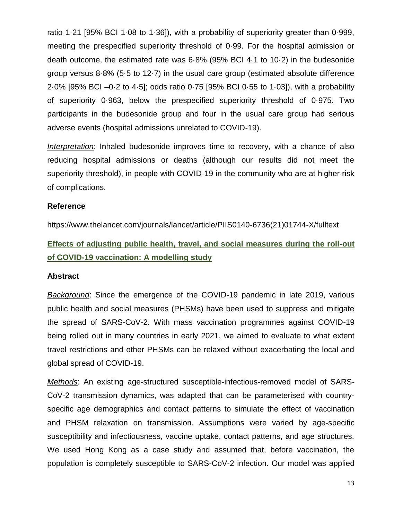ratio 1·21 [95% BCI 1·08 to 1·36]), with a probability of superiority greater than 0·999, meeting the prespecified superiority threshold of 0·99. For the hospital admission or death outcome, the estimated rate was 6·8% (95% BCI 4·1 to 10·2) in the budesonide group versus 8·8% (5·5 to 12·7) in the usual care group (estimated absolute difference 2·0% [95% BCI –0·2 to 4·5]; odds ratio 0·75 [95% BCI 0·55 to 1·03]), with a probability of superiority 0·963, below the prespecified superiority threshold of 0·975. Two participants in the budesonide group and four in the usual care group had serious adverse events (hospital admissions unrelated to COVID-19).

*Interpretation*: Inhaled budesonide improves time to recovery, with a chance of also reducing hospital admissions or deaths (although our results did not meet the superiority threshold), in people with COVID-19 in the community who are at higher risk of complications.

#### **Reference**

https://www.thelancet.com/journals/lancet/article/PIIS0140-6736(21)01744-X/fulltext

**Effects of adjusting public health, travel, and social measures during the roll-out of COVID-19 vaccination: A modelling study** 

#### **Abstract**

*Background*: Since the emergence of the COVID-19 pandemic in late 2019, various public health and social measures (PHSMs) have been used to suppress and mitigate the spread of SARS-CoV-2. With mass vaccination programmes against COVID-19 being rolled out in many countries in early 2021, we aimed to evaluate to what extent travel restrictions and other PHSMs can be relaxed without exacerbating the local and global spread of COVID-19.

*Methods*: An existing age-structured susceptible-infectious-removed model of SARS-CoV-2 transmission dynamics, was adapted that can be parameterised with countryspecific age demographics and contact patterns to simulate the effect of vaccination and PHSM relaxation on transmission. Assumptions were varied by age-specific susceptibility and infectiousness, vaccine uptake, contact patterns, and age structures. We used Hong Kong as a case study and assumed that, before vaccination, the population is completely susceptible to SARS-CoV-2 infection. Our model was applied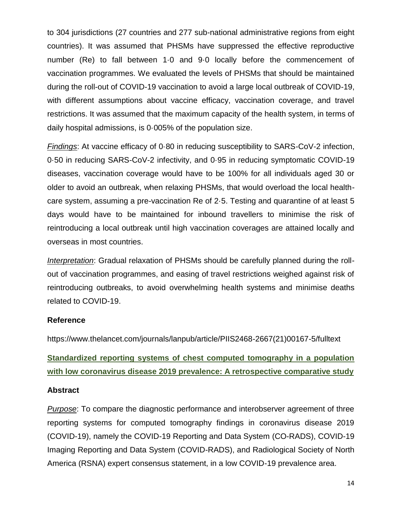to 304 jurisdictions (27 countries and 277 sub-national administrative regions from eight countries). It was assumed that PHSMs have suppressed the effective reproductive number (Re) to fall between 1·0 and 9·0 locally before the commencement of vaccination programmes. We evaluated the levels of PHSMs that should be maintained during the roll-out of COVID-19 vaccination to avoid a large local outbreak of COVID-19, with different assumptions about vaccine efficacy, vaccination coverage, and travel restrictions. It was assumed that the maximum capacity of the health system, in terms of daily hospital admissions, is 0·005% of the population size.

*Findings*: At vaccine efficacy of 0·80 in reducing susceptibility to SARS-CoV-2 infection, 0·50 in reducing SARS-CoV-2 infectivity, and 0·95 in reducing symptomatic COVID-19 diseases, vaccination coverage would have to be 100% for all individuals aged 30 or older to avoid an outbreak, when relaxing PHSMs, that would overload the local healthcare system, assuming a pre-vaccination Re of 2·5. Testing and quarantine of at least 5 days would have to be maintained for inbound travellers to minimise the risk of reintroducing a local outbreak until high vaccination coverages are attained locally and overseas in most countries.

*Interpretation*: Gradual relaxation of PHSMs should be carefully planned during the rollout of vaccination programmes, and easing of travel restrictions weighed against risk of reintroducing outbreaks, to avoid overwhelming health systems and minimise deaths related to COVID-19.

#### **Reference**

https://www.thelancet.com/journals/lanpub/article/PIIS2468-2667(21)00167-5/fulltext

**Standardized reporting systems of chest computed tomography in a population with low coronavirus disease 2019 prevalence: A retrospective comparative study**

#### **Abstract**

*Purpose*: To compare the diagnostic performance and interobserver agreement of three reporting systems for computed tomography findings in coronavirus disease 2019 (COVID-19), namely the COVID-19 Reporting and Data System (CO-RADS), COVID-19 Imaging Reporting and Data System (COVID-RADS), and Radiological Society of North America (RSNA) expert consensus statement, in a low COVID-19 prevalence area.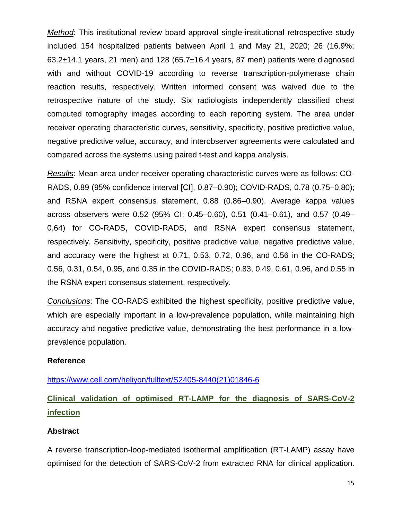*Method*: This institutional review board approval single-institutional retrospective study included 154 hospitalized patients between April 1 and May 21, 2020; 26 (16.9%; 63.2±14.1 years, 21 men) and 128 (65.7±16.4 years, 87 men) patients were diagnosed with and without COVID-19 according to reverse transcription-polymerase chain reaction results, respectively. Written informed consent was waived due to the retrospective nature of the study. Six radiologists independently classified chest computed tomography images according to each reporting system. The area under receiver operating characteristic curves, sensitivity, specificity, positive predictive value, negative predictive value, accuracy, and interobserver agreements were calculated and compared across the systems using paired t-test and kappa analysis.

*Results*: Mean area under receiver operating characteristic curves were as follows: CO-RADS, 0.89 (95% confidence interval [CI], 0.87–0.90); COVID-RADS, 0.78 (0.75–0.80); and RSNA expert consensus statement, 0.88 (0.86–0.90). Average kappa values across observers were 0.52 (95% CI: 0.45–0.60), 0.51 (0.41–0.61), and 0.57 (0.49– 0.64) for CO-RADS, COVID-RADS, and RSNA expert consensus statement, respectively. Sensitivity, specificity, positive predictive value, negative predictive value, and accuracy were the highest at 0.71, 0.53, 0.72, 0.96, and 0.56 in the CO-RADS; 0.56, 0.31, 0.54, 0.95, and 0.35 in the COVID-RADS; 0.83, 0.49, 0.61, 0.96, and 0.55 in the RSNA expert consensus statement, respectively.

*Conclusions*: The CO-RADS exhibited the highest specificity, positive predictive value, which are especially important in a low-prevalence population, while maintaining high accuracy and negative predictive value, demonstrating the best performance in a lowprevalence population.

#### **Reference**

[https://www.cell.com/heliyon/fulltext/S2405-8440\(21\)01846-6](https://www.cell.com/heliyon/fulltext/S2405-8440(21)01846-6)

**Clinical validation of optimised RT-LAMP for the diagnosis of SARS-CoV-2 infection**

#### **Abstract**

A reverse transcription-loop-mediated isothermal amplification (RT-LAMP) assay have optimised for the detection of SARS-CoV-2 from extracted RNA for clinical application.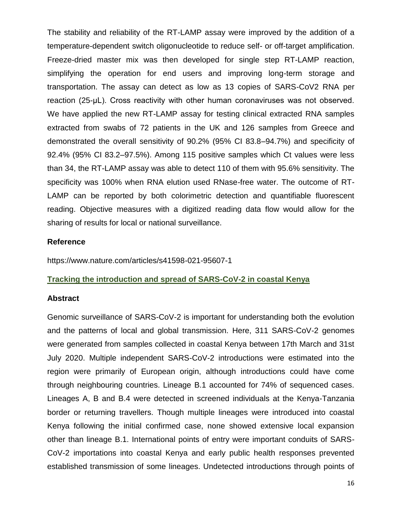The stability and reliability of the RT-LAMP assay were improved by the addition of a temperature-dependent switch oligonucleotide to reduce self- or off-target amplification. Freeze-dried master mix was then developed for single step RT-LAMP reaction, simplifying the operation for end users and improving long-term storage and transportation. The assay can detect as low as 13 copies of SARS-CoV2 RNA per reaction (25-μL). Cross reactivity with other human coronaviruses was not observed. We have applied the new RT-LAMP assay for testing clinical extracted RNA samples extracted from swabs of 72 patients in the UK and 126 samples from Greece and demonstrated the overall sensitivity of 90.2% (95% CI 83.8–94.7%) and specificity of 92.4% (95% CI 83.2–97.5%). Among 115 positive samples which Ct values were less than 34, the RT-LAMP assay was able to detect 110 of them with 95.6% sensitivity. The specificity was 100% when RNA elution used RNase-free water. The outcome of RT-LAMP can be reported by both colorimetric detection and quantifiable fluorescent reading. Objective measures with a digitized reading data flow would allow for the sharing of results for local or national surveillance.

#### **Reference**

https://www.nature.com/articles/s41598-021-95607-1

#### **Tracking the introduction and spread of SARS-CoV-2 in coastal Kenya**

#### **Abstract**

Genomic surveillance of SARS-CoV-2 is important for understanding both the evolution and the patterns of local and global transmission. Here, 311 SARS-CoV-2 genomes were generated from samples collected in coastal Kenya between 17th March and 31st July 2020. Multiple independent SARS-CoV-2 introductions were estimated into the region were primarily of European origin, although introductions could have come through neighbouring countries. Lineage B.1 accounted for 74% of sequenced cases. Lineages A, B and B.4 were detected in screened individuals at the Kenya-Tanzania border or returning travellers. Though multiple lineages were introduced into coastal Kenya following the initial confirmed case, none showed extensive local expansion other than lineage B.1. International points of entry were important conduits of SARS-CoV-2 importations into coastal Kenya and early public health responses prevented established transmission of some lineages. Undetected introductions through points of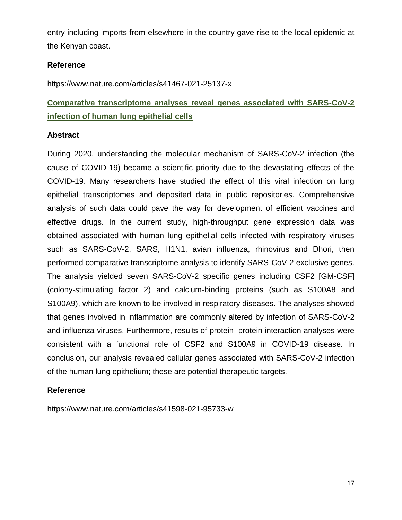entry including imports from elsewhere in the country gave rise to the local epidemic at the Kenyan coast.

#### **Reference**

https://www.nature.com/articles/s41467-021-25137-x

### **Comparative transcriptome analyses reveal genes associated with SARS-CoV-2 infection of human lung epithelial cells**

#### **Abstract**

During 2020, understanding the molecular mechanism of SARS-CoV-2 infection (the cause of COVID-19) became a scientific priority due to the devastating effects of the COVID-19. Many researchers have studied the effect of this viral infection on lung epithelial transcriptomes and deposited data in public repositories. Comprehensive analysis of such data could pave the way for development of efficient vaccines and effective drugs. In the current study, high-throughput gene expression data was obtained associated with human lung epithelial cells infected with respiratory viruses such as SARS-CoV-2, SARS, H1N1, avian influenza, rhinovirus and Dhori, then performed comparative transcriptome analysis to identify SARS-CoV-2 exclusive genes. The analysis yielded seven SARS-CoV-2 specific genes including CSF2 [GM-CSF] (colony-stimulating factor 2) and calcium-binding proteins (such as S100A8 and S100A9), which are known to be involved in respiratory diseases. The analyses showed that genes involved in inflammation are commonly altered by infection of SARS-CoV-2 and influenza viruses. Furthermore, results of protein–protein interaction analyses were consistent with a functional role of CSF2 and S100A9 in COVID-19 disease. In conclusion, our analysis revealed cellular genes associated with SARS-CoV-2 infection of the human lung epithelium; these are potential therapeutic targets.

#### **Reference**

https://www.nature.com/articles/s41598-021-95733-w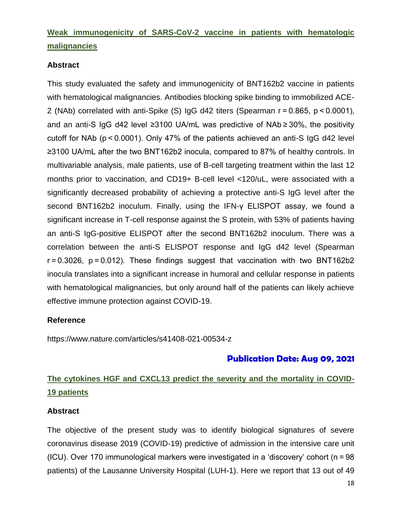### **Weak immunogenicity of SARS-CoV-2 vaccine in patients with hematologic malignancies**

#### **Abstract**

This study evaluated the safety and immunogenicity of BNT162b2 vaccine in patients with hematological malignancies. Antibodies blocking spike binding to immobilized ACE-2 (NAb) correlated with anti-Spike (S) IgG d42 titers (Spearman r = 0.865, p < 0.0001), and an anti-S IgG d42 level ≥3100 UA/mL was predictive of NAb ≥ 30%, the positivity cutoff for NAb (p < 0.0001). Only 47% of the patients achieved an anti-S IgG d42 level ≥3100 UA/mL after the two BNT162b2 inocula, compared to 87% of healthy controls. In multivariable analysis, male patients, use of B-cell targeting treatment within the last 12 months prior to vaccination, and CD19+ B-cell level <120/uL, were associated with a significantly decreased probability of achieving a protective anti-S IgG level after the second BNT162b2 inoculum. Finally, using the IFN-γ ELISPOT assay, we found a significant increase in T-cell response against the S protein, with 53% of patients having an anti-S IgG-positive ELISPOT after the second BNT162b2 inoculum. There was a correlation between the anti-S ELISPOT response and IgG d42 level (Spearman r = 0.3026, p = 0.012). These findings suggest that vaccination with two BNT162b2 inocula translates into a significant increase in humoral and cellular response in patients with hematological malignancies, but only around half of the patients can likely achieve effective immune protection against COVID-19.

#### **Reference**

https://www.nature.com/articles/s41408-021-00534-z

### **Publication Date: Aug 09, 2021**

# **The cytokines HGF and CXCL13 predict the severity and the mortality in COVID-19 patients**

#### **Abstract**

The objective of the present study was to identify biological signatures of severe coronavirus disease 2019 (COVID-19) predictive of admission in the intensive care unit (ICU). Over 170 immunological markers were investigated in a 'discovery' cohort (n = 98 patients) of the Lausanne University Hospital (LUH-1). Here we report that 13 out of 49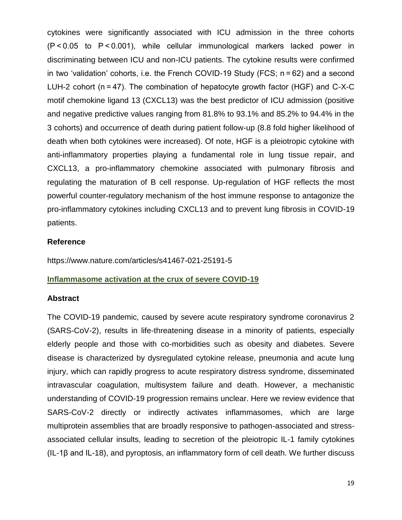cytokines were significantly associated with ICU admission in the three cohorts (P < 0.05 to P < 0.001), while cellular immunological markers lacked power in discriminating between ICU and non-ICU patients. The cytokine results were confirmed in two 'validation' cohorts, i.e. the French COVID-19 Study (FCS; n = 62) and a second LUH-2 cohort (n = 47). The combination of hepatocyte growth factor (HGF) and C-X-C motif chemokine ligand 13 (CXCL13) was the best predictor of ICU admission (positive and negative predictive values ranging from 81.8% to 93.1% and 85.2% to 94.4% in the 3 cohorts) and occurrence of death during patient follow-up (8.8 fold higher likelihood of death when both cytokines were increased). Of note, HGF is a pleiotropic cytokine with anti-inflammatory properties playing a fundamental role in lung tissue repair, and CXCL13, a pro-inflammatory chemokine associated with pulmonary fibrosis and regulating the maturation of B cell response. Up-regulation of HGF reflects the most powerful counter-regulatory mechanism of the host immune response to antagonize the pro-inflammatory cytokines including CXCL13 and to prevent lung fibrosis in COVID-19 patients.

#### **Reference**

https://www.nature.com/articles/s41467-021-25191-5

#### **Inflammasome activation at the crux of severe COVID-19**

#### **Abstract**

The COVID-19 pandemic, caused by severe acute respiratory syndrome coronavirus 2 (SARS-CoV-2), results in life-threatening disease in a minority of patients, especially elderly people and those with co-morbidities such as obesity and diabetes. Severe disease is characterized by dysregulated cytokine release, pneumonia and acute lung injury, which can rapidly progress to acute respiratory distress syndrome, disseminated intravascular coagulation, multisystem failure and death. However, a mechanistic understanding of COVID-19 progression remains unclear. Here we review evidence that SARS-CoV-2 directly or indirectly activates inflammasomes, which are large multiprotein assemblies that are broadly responsive to pathogen-associated and stressassociated cellular insults, leading to secretion of the pleiotropic IL-1 family cytokines (IL-1β and IL-18), and pyroptosis, an inflammatory form of cell death. We further discuss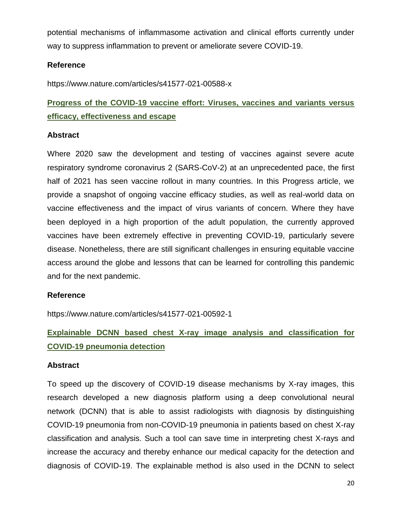potential mechanisms of inflammasome activation and clinical efforts currently under way to suppress inflammation to prevent or ameliorate severe COVID-19.

#### **Reference**

https://www.nature.com/articles/s41577-021-00588-x

**Progress of the COVID-19 vaccine effort: Viruses, vaccines and variants versus efficacy, effectiveness and escape** 

#### **Abstract**

Where 2020 saw the development and testing of vaccines against severe acute respiratory syndrome coronavirus 2 (SARS-CoV-2) at an unprecedented pace, the first half of 2021 has seen vaccine rollout in many countries. In this Progress article, we provide a snapshot of ongoing vaccine efficacy studies, as well as real-world data on vaccine effectiveness and the impact of virus variants of concern. Where they have been deployed in a high proportion of the adult population, the currently approved vaccines have been extremely effective in preventing COVID-19, particularly severe disease. Nonetheless, there are still significant challenges in ensuring equitable vaccine access around the globe and lessons that can be learned for controlling this pandemic and for the next pandemic.

#### **Reference**

https://www.nature.com/articles/s41577-021-00592-1

# **Explainable DCNN based chest X-ray image analysis and classification for COVID-19 pneumonia detection**

#### **Abstract**

To speed up the discovery of COVID-19 disease mechanisms by X-ray images, this research developed a new diagnosis platform using a deep convolutional neural network (DCNN) that is able to assist radiologists with diagnosis by distinguishing COVID-19 pneumonia from non-COVID-19 pneumonia in patients based on chest X-ray classification and analysis. Such a tool can save time in interpreting chest X-rays and increase the accuracy and thereby enhance our medical capacity for the detection and diagnosis of COVID-19. The explainable method is also used in the DCNN to select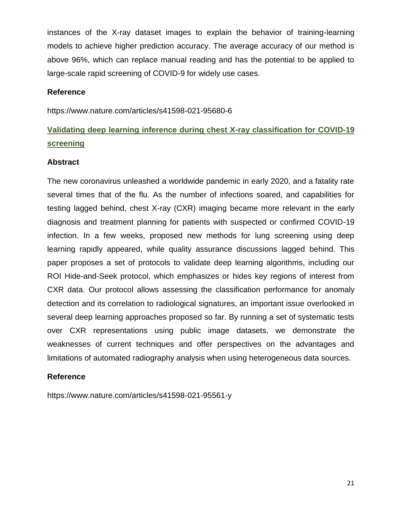instances of the X-ray dataset images to explain the behavior of training-learning models to achieve higher prediction accuracy. The average accuracy of our method is above 96%, which can replace manual reading and has the potential to be applied to large-scale rapid screening of COVID-9 for widely use cases.

#### **Reference**

https://www.nature.com/articles/s41598-021-95680-6

# **Validating deep learning inference during chest X-ray classification for COVID-19 screening**

#### **Abstract**

The new coronavirus unleashed a worldwide pandemic in early 2020, and a fatality rate several times that of the flu. As the number of infections soared, and capabilities for testing lagged behind, chest X-ray (CXR) imaging became more relevant in the early diagnosis and treatment planning for patients with suspected or confirmed COVID-19 infection. In a few weeks, proposed new methods for lung screening using deep learning rapidly appeared, while quality assurance discussions lagged behind. This paper proposes a set of protocols to validate deep learning algorithms, including our ROI Hide-and-Seek protocol, which emphasizes or hides key regions of interest from CXR data. Our protocol allows assessing the classification performance for anomaly detection and its correlation to radiological signatures, an important issue overlooked in several deep learning approaches proposed so far. By running a set of systematic tests over CXR representations using public image datasets, we demonstrate the weaknesses of current techniques and offer perspectives on the advantages and limitations of automated radiography analysis when using heterogeneous data sources.

#### **Reference**

https://www.nature.com/articles/s41598-021-95561-y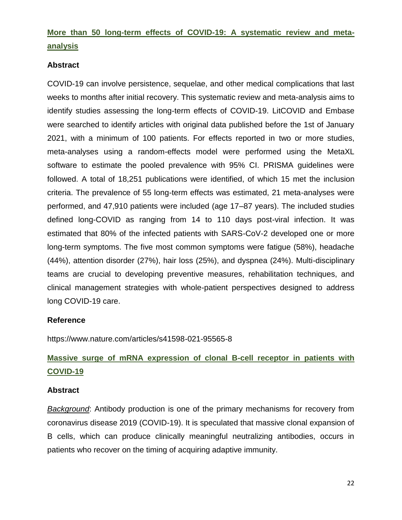### **More than 50 long-term effects of COVID-19: A systematic review and metaanalysis**

#### **Abstract**

COVID-19 can involve persistence, sequelae, and other medical complications that last weeks to months after initial recovery. This systematic review and meta-analysis aims to identify studies assessing the long-term effects of COVID-19. LitCOVID and Embase were searched to identify articles with original data published before the 1st of January 2021, with a minimum of 100 patients. For effects reported in two or more studies, meta-analyses using a random-effects model were performed using the MetaXL software to estimate the pooled prevalence with 95% CI. PRISMA guidelines were followed. A total of 18,251 publications were identified, of which 15 met the inclusion criteria. The prevalence of 55 long-term effects was estimated, 21 meta-analyses were performed, and 47,910 patients were included (age 17–87 years). The included studies defined long-COVID as ranging from 14 to 110 days post-viral infection. It was estimated that 80% of the infected patients with SARS-CoV-2 developed one or more long-term symptoms. The five most common symptoms were fatigue (58%), headache (44%), attention disorder (27%), hair loss (25%), and dyspnea (24%). Multi-disciplinary teams are crucial to developing preventive measures, rehabilitation techniques, and clinical management strategies with whole-patient perspectives designed to address long COVID-19 care.

#### **Reference**

https://www.nature.com/articles/s41598-021-95565-8

# **Massive surge of mRNA expression of clonal B-cell receptor in patients with COVID-19**

#### **Abstract**

*Background*: Antibody production is one of the primary mechanisms for recovery from coronavirus disease 2019 (COVID-19). It is speculated that massive clonal expansion of B cells, which can produce clinically meaningful neutralizing antibodies, occurs in patients who recover on the timing of acquiring adaptive immunity.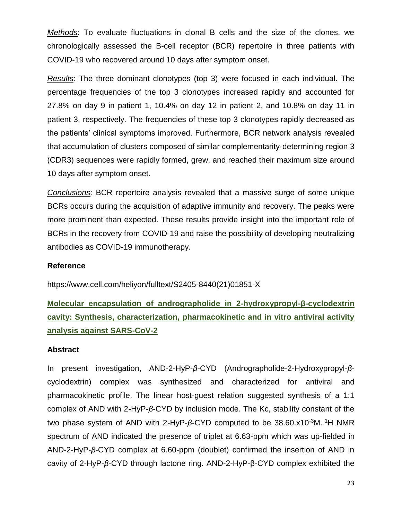*Methods*: To evaluate fluctuations in clonal B cells and the size of the clones, we chronologically assessed the B-cell receptor (BCR) repertoire in three patients with COVID-19 who recovered around 10 days after symptom onset.

*Results*: The three dominant clonotypes (top 3) were focused in each individual. The percentage frequencies of the top 3 clonotypes increased rapidly and accounted for 27.8% on day 9 in patient 1, 10.4% on day 12 in patient 2, and 10.8% on day 11 in patient 3, respectively. The frequencies of these top 3 clonotypes rapidly decreased as the patients' clinical symptoms improved. Furthermore, BCR network analysis revealed that accumulation of clusters composed of similar complementarity-determining region 3 (CDR3) sequences were rapidly formed, grew, and reached their maximum size around 10 days after symptom onset.

*Conclusions*: BCR repertoire analysis revealed that a massive surge of some unique BCRs occurs during the acquisition of adaptive immunity and recovery. The peaks were more prominent than expected. These results provide insight into the important role of BCRs in the recovery from COVID-19 and raise the possibility of developing neutralizing antibodies as COVID-19 immunotherapy.

#### **Reference**

https://www.cell.com/heliyon/fulltext/S2405-8440(21)01851-X

**Molecular encapsulation of andrographolide in 2-hydroxypropyl-β-cyclodextrin cavity: Synthesis, characterization, pharmacokinetic and in vitro antiviral activity analysis against SARS-CoV-2**

#### **Abstract**

In present investigation, AND-2-HyP-*β*-CYD (Andrographolide-2-Hydroxypropyl-*β*cyclodextrin) complex was synthesized and characterized for antiviral and pharmacokinetic profile. The linear host-guest relation suggested synthesis of a 1:1 complex of AND with 2-HyP-*β*-CYD by inclusion mode. The Kc, stability constant of the two phase system of AND with 2-HyP-β-CYD computed to be 38.60.x10<sup>-3</sup>M. <sup>1</sup>H NMR spectrum of AND indicated the presence of triplet at 6.63-ppm which was up-fielded in AND-2-HyP-*β*-CYD complex at 6.60-ppm (doublet) confirmed the insertion of AND in cavity of 2-HyP-*β*-CYD through lactone ring. AND-2-HyP-β-CYD complex exhibited the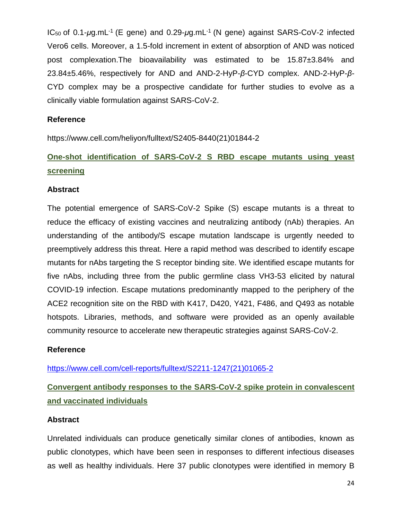IC<sub>50</sub> of 0.1-μg.mL<sup>-1</sup> (E gene) and 0.29-μg.mL<sup>-1</sup> (N gene) against SARS-CoV-2 infected Vero6 cells. Moreover, a 1.5-fold increment in extent of absorption of AND was noticed post complexation.The bioavailability was estimated to be 15.87±3.84% and 23.84±5.46%, respectively for AND and AND-2-HyP-*β*-CYD complex. AND-2-HyP-*β*-CYD complex may be a prospective candidate for further studies to evolve as a clinically viable formulation against SARS-CoV-2.

#### **Reference**

https://www.cell.com/heliyon/fulltext/S2405-8440(21)01844-2

### **One-shot identification of SARS-CoV-2 S RBD escape mutants using yeast screening**

#### **Abstract**

The potential emergence of SARS-CoV-2 Spike (S) escape mutants is a threat to reduce the efficacy of existing vaccines and neutralizing antibody (nAb) therapies. An understanding of the antibody/S escape mutation landscape is urgently needed to preemptively address this threat. Here a rapid method was described to identify escape mutants for nAbs targeting the S receptor binding site. We identified escape mutants for five nAbs, including three from the public germline class VH3-53 elicited by natural COVID-19 infection. Escape mutations predominantly mapped to the periphery of the ACE2 recognition site on the RBD with K417, D420, Y421, F486, and Q493 as notable hotspots. Libraries, methods, and software were provided as an openly available community resource to accelerate new therapeutic strategies against SARS-CoV-2.

#### **Reference**

[https://www.cell.com/cell-reports/fulltext/S2211-1247\(21\)01065-2](https://www.cell.com/cell-reports/fulltext/S2211-1247(21)01065-2)

### **Convergent antibody responses to the SARS-CoV-2 spike protein in convalescent and vaccinated individuals**

#### **Abstract**

Unrelated individuals can produce genetically similar clones of antibodies, known as public clonotypes, which have been seen in responses to different infectious diseases as well as healthy individuals. Here 37 public clonotypes were identified in memory B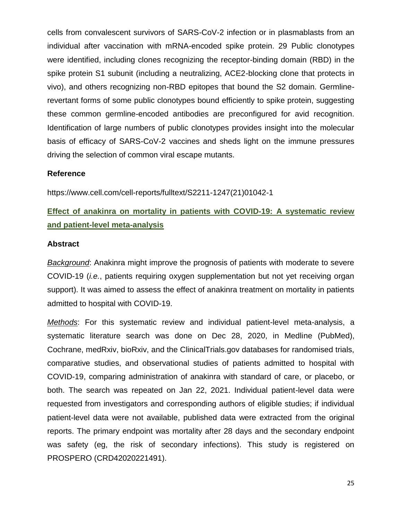cells from convalescent survivors of SARS-CoV-2 infection or in plasmablasts from an individual after vaccination with mRNA-encoded spike protein. 29 Public clonotypes were identified, including clones recognizing the receptor-binding domain (RBD) in the spike protein S1 subunit (including a neutralizing, ACE2-blocking clone that protects in vivo), and others recognizing non-RBD epitopes that bound the S2 domain. Germlinerevertant forms of some public clonotypes bound efficiently to spike protein, suggesting these common germline-encoded antibodies are preconfigured for avid recognition. Identification of large numbers of public clonotypes provides insight into the molecular basis of efficacy of SARS-CoV-2 vaccines and sheds light on the immune pressures driving the selection of common viral escape mutants.

#### **Reference**

https://www.cell.com/cell-reports/fulltext/S2211-1247(21)01042-1

### **Effect of anakinra on mortality in patients with COVID-19: A systematic review and patient-level meta-analysis**

#### **Abstract**

*Background*: Anakinra might improve the prognosis of patients with moderate to severe COVID-19 (*i.e.*, patients requiring oxygen supplementation but not yet receiving organ support). It was aimed to assess the effect of anakinra treatment on mortality in patients admitted to hospital with COVID-19.

*Methods*: For this systematic review and individual patient-level meta-analysis, a systematic literature search was done on Dec 28, 2020, in Medline (PubMed), Cochrane, medRxiv, bioRxiv, and the ClinicalTrials.gov databases for randomised trials, comparative studies, and observational studies of patients admitted to hospital with COVID-19, comparing administration of anakinra with standard of care, or placebo, or both. The search was repeated on Jan 22, 2021. Individual patient-level data were requested from investigators and corresponding authors of eligible studies; if individual patient-level data were not available, published data were extracted from the original reports. The primary endpoint was mortality after 28 days and the secondary endpoint was safety (eg, the risk of secondary infections). This study is registered on PROSPERO (CRD42020221491).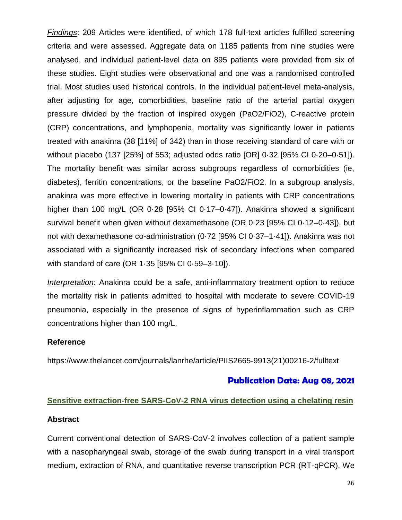*Findings*: 209 Articles were identified, of which 178 full-text articles fulfilled screening criteria and were assessed. Aggregate data on 1185 patients from nine studies were analysed, and individual patient-level data on 895 patients were provided from six of these studies. Eight studies were observational and one was a randomised controlled trial. Most studies used historical controls. In the individual patient-level meta-analysis, after adjusting for age, comorbidities, baseline ratio of the arterial partial oxygen pressure divided by the fraction of inspired oxygen (PaO2/FiO2), C-reactive protein (CRP) concentrations, and lymphopenia, mortality was significantly lower in patients treated with anakinra (38 [11%] of 342) than in those receiving standard of care with or without placebo (137 [25%] of 553; adjusted odds ratio [OR] 0·32 [95% CI 0·20–0·51]). The mortality benefit was similar across subgroups regardless of comorbidities (ie, diabetes), ferritin concentrations, or the baseline PaO2/FiO2. In a subgroup analysis, anakinra was more effective in lowering mortality in patients with CRP concentrations higher than 100 mg/L (OR 0.28 [95% CI 0.17–0.47]). Anakinra showed a significant survival benefit when given without dexamethasone (OR 0·23 [95% CI 0·12–0·43]), but not with dexamethasone co-administration (0·72 [95% CI 0·37–1·41]). Anakinra was not associated with a significantly increased risk of secondary infections when compared with standard of care (OR 1·35 [95% CI 0·59–3·10]).

*Interpretation*: Anakinra could be a safe, anti-inflammatory treatment option to reduce the mortality risk in patients admitted to hospital with moderate to severe COVID-19 pneumonia, especially in the presence of signs of hyperinflammation such as CRP concentrations higher than 100 mg/L.

#### **Reference**

https://www.thelancet.com/journals/lanrhe/article/PIIS2665-9913(21)00216-2/fulltext

#### **Publication Date: Aug 08, 2021**

# **Sensitive extraction-free SARS-CoV-2 RNA virus detection using a chelating resin Abstract**

Current conventional detection of SARS-CoV-2 involves collection of a patient sample with a nasopharyngeal swab, storage of the swab during transport in a viral transport medium, extraction of RNA, and quantitative reverse transcription PCR (RT-qPCR). We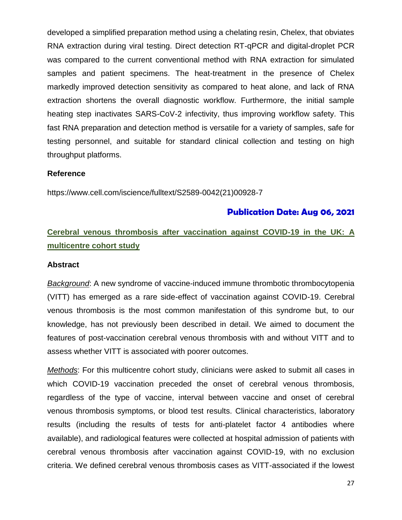developed a simplified preparation method using a chelating resin, Chelex, that obviates RNA extraction during viral testing. Direct detection RT-qPCR and digital-droplet PCR was compared to the current conventional method with RNA extraction for simulated samples and patient specimens. The heat-treatment in the presence of Chelex markedly improved detection sensitivity as compared to heat alone, and lack of RNA extraction shortens the overall diagnostic workflow. Furthermore, the initial sample heating step inactivates SARS-CoV-2 infectivity, thus improving workflow safety. This fast RNA preparation and detection method is versatile for a variety of samples, safe for testing personnel, and suitable for standard clinical collection and testing on high throughput platforms.

#### **Reference**

https://www.cell.com/iscience/fulltext/S2589-0042(21)00928-7

#### **Publication Date: Aug 06, 2021**

### **Cerebral venous thrombosis after vaccination against COVID-19 in the UK: A multicentre cohort study**

#### **Abstract**

*Background*: A new syndrome of vaccine-induced immune thrombotic thrombocytopenia (VITT) has emerged as a rare side-effect of vaccination against COVID-19. Cerebral venous thrombosis is the most common manifestation of this syndrome but, to our knowledge, has not previously been described in detail. We aimed to document the features of post-vaccination cerebral venous thrombosis with and without VITT and to assess whether VITT is associated with poorer outcomes.

*Methods*: For this multicentre cohort study, clinicians were asked to submit all cases in which COVID-19 vaccination preceded the onset of cerebral venous thrombosis, regardless of the type of vaccine, interval between vaccine and onset of cerebral venous thrombosis symptoms, or blood test results. Clinical characteristics, laboratory results (including the results of tests for anti-platelet factor 4 antibodies where available), and radiological features were collected at hospital admission of patients with cerebral venous thrombosis after vaccination against COVID-19, with no exclusion criteria. We defined cerebral venous thrombosis cases as VITT-associated if the lowest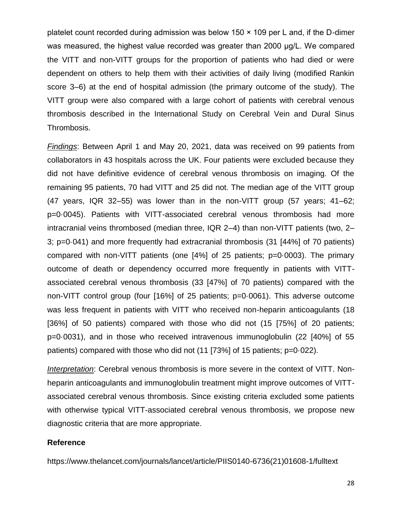platelet count recorded during admission was below 150 × 109 per L and, if the D-dimer was measured, the highest value recorded was greater than 2000 μg/L. We compared the VITT and non-VITT groups for the proportion of patients who had died or were dependent on others to help them with their activities of daily living (modified Rankin score 3–6) at the end of hospital admission (the primary outcome of the study). The VITT group were also compared with a large cohort of patients with cerebral venous thrombosis described in the International Study on Cerebral Vein and Dural Sinus Thrombosis.

*Findings*: Between April 1 and May 20, 2021, data was received on 99 patients from collaborators in 43 hospitals across the UK. Four patients were excluded because they did not have definitive evidence of cerebral venous thrombosis on imaging. Of the remaining 95 patients, 70 had VITT and 25 did not. The median age of the VITT group (47 years, IQR 32–55) was lower than in the non-VITT group (57 years; 41–62; p=0·0045). Patients with VITT-associated cerebral venous thrombosis had more intracranial veins thrombosed (median three, IQR 2–4) than non-VITT patients (two, 2– 3; p=0·041) and more frequently had extracranial thrombosis (31 [44%] of 70 patients) compared with non-VITT patients (one [4%] of 25 patients; p=0·0003). The primary outcome of death or dependency occurred more frequently in patients with VITTassociated cerebral venous thrombosis (33 [47%] of 70 patients) compared with the non-VITT control group (four [16%] of 25 patients; p=0·0061). This adverse outcome was less frequent in patients with VITT who received non-heparin anticoagulants (18 [36%] of 50 patients) compared with those who did not (15 [75%] of 20 patients; p=0·0031), and in those who received intravenous immunoglobulin (22 [40%] of 55 patients) compared with those who did not (11 [73%] of 15 patients; p=0·022).

*Interpretation*: Cerebral venous thrombosis is more severe in the context of VITT. Nonheparin anticoagulants and immunoglobulin treatment might improve outcomes of VITTassociated cerebral venous thrombosis. Since existing criteria excluded some patients with otherwise typical VITT-associated cerebral venous thrombosis, we propose new diagnostic criteria that are more appropriate.

#### **Reference**

https://www.thelancet.com/journals/lancet/article/PIIS0140-6736(21)01608-1/fulltext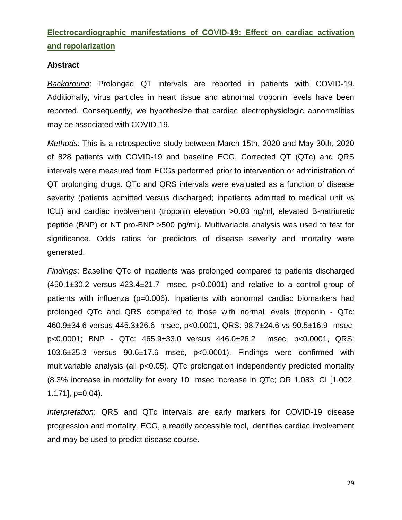### **Electrocardiographic manifestations of COVID-19: Effect on cardiac activation and repolarization**

#### **Abstract**

*Background*: Prolonged QT intervals are reported in patients with COVID-19. Additionally, virus particles in heart tissue and abnormal troponin levels have been reported. Consequently, we hypothesize that cardiac electrophysiologic abnormalities may be associated with COVID-19.

*Methods*: This is a retrospective study between March 15th, 2020 and May 30th, 2020 of 828 patients with COVID-19 and baseline ECG. Corrected QT (QTc) and QRS intervals were measured from ECGs performed prior to intervention or administration of QT prolonging drugs. QTc and QRS intervals were evaluated as a function of disease severity (patients admitted versus discharged; inpatients admitted to medical unit vs ICU) and cardiac involvement (troponin elevation >0.03 ng/ml, elevated B-natriuretic peptide (BNP) or NT pro-BNP >500 pg/ml). Multivariable analysis was used to test for significance. Odds ratios for predictors of disease severity and mortality were generated.

*Findings*: Baseline QTc of inpatients was prolonged compared to patients discharged  $(450.1\pm30.2$  versus  $423.4\pm21.7$  msec,  $p<0.0001$ ) and relative to a control group of patients with influenza (p=0.006). Inpatients with abnormal cardiac biomarkers had prolonged QTc and QRS compared to those with normal levels (troponin - QTc: 460.9±34.6 versus 445.3±26.6 msec, p<0.0001, QRS: 98.7±24.6 vs 90.5±16.9 msec, p<0.0001; BNP - QTc: 465.9±33.0 versus 446.0±26.2 msec, p<0.0001, QRS: 103.6±25.3 versus 90.6±17.6 msec, p<0.0001). Findings were confirmed with multivariable analysis (all p<0.05). QTc prolongation independently predicted mortality (8.3% increase in mortality for every 10 msec increase in QTc; OR 1.083, CI [1.002, 1.171], p=0.04).

*Interpretation*: QRS and QTc intervals are early markers for COVID-19 disease progression and mortality. ECG, a readily accessible tool, identifies cardiac involvement and may be used to predict disease course.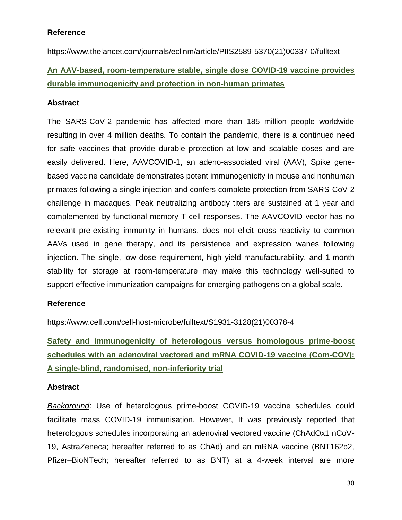#### **Reference**

https://www.thelancet.com/journals/eclinm/article/PIIS2589-5370(21)00337-0/fulltext

### **An AAV-based, room-temperature stable, single dose COVID-19 vaccine provides durable immunogenicity and protection in non-human primates**

#### **Abstract**

The SARS-CoV-2 pandemic has affected more than 185 million people worldwide resulting in over 4 million deaths. To contain the pandemic, there is a continued need for safe vaccines that provide durable protection at low and scalable doses and are easily delivered. Here, AAVCOVID-1, an adeno-associated viral (AAV), Spike genebased vaccine candidate demonstrates potent immunogenicity in mouse and nonhuman primates following a single injection and confers complete protection from SARS-CoV-2 challenge in macaques. Peak neutralizing antibody titers are sustained at 1 year and complemented by functional memory T-cell responses. The AAVCOVID vector has no relevant pre-existing immunity in humans, does not elicit cross-reactivity to common AAVs used in gene therapy, and its persistence and expression wanes following injection. The single, low dose requirement, high yield manufacturability, and 1-month stability for storage at room-temperature may make this technology well-suited to support effective immunization campaigns for emerging pathogens on a global scale.

#### **Reference**

https://www.cell.com/cell-host-microbe/fulltext/S1931-3128(21)00378-4

**Safety and immunogenicity of heterologous versus homologous prime-boost schedules with an adenoviral vectored and mRNA COVID-19 vaccine (Com-COV): A single-blind, randomised, non-inferiority trial**

#### **Abstract**

*Background*: Use of heterologous prime-boost COVID-19 vaccine schedules could facilitate mass COVID-19 immunisation. However, It was previously reported that heterologous schedules incorporating an adenoviral vectored vaccine (ChAdOx1 nCoV-19, AstraZeneca; hereafter referred to as ChAd) and an mRNA vaccine (BNT162b2, Pfizer–BioNTech; hereafter referred to as BNT) at a 4-week interval are more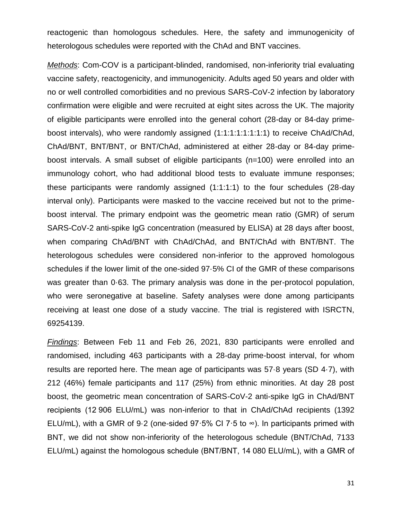reactogenic than homologous schedules. Here, the safety and immunogenicity of heterologous schedules were reported with the ChAd and BNT vaccines.

*Methods*: Com-COV is a participant-blinded, randomised, non-inferiority trial evaluating vaccine safety, reactogenicity, and immunogenicity. Adults aged 50 years and older with no or well controlled comorbidities and no previous SARS-CoV-2 infection by laboratory confirmation were eligible and were recruited at eight sites across the UK. The majority of eligible participants were enrolled into the general cohort (28-day or 84-day primeboost intervals), who were randomly assigned (1:1:1:1:1:1:1:1) to receive ChAd/ChAd, ChAd/BNT, BNT/BNT, or BNT/ChAd, administered at either 28-day or 84-day primeboost intervals. A small subset of eligible participants (n=100) were enrolled into an immunology cohort, who had additional blood tests to evaluate immune responses; these participants were randomly assigned (1:1:1:1) to the four schedules (28-day interval only). Participants were masked to the vaccine received but not to the primeboost interval. The primary endpoint was the geometric mean ratio (GMR) of serum SARS-CoV-2 anti-spike IgG concentration (measured by ELISA) at 28 days after boost, when comparing ChAd/BNT with ChAd/ChAd, and BNT/ChAd with BNT/BNT. The heterologous schedules were considered non-inferior to the approved homologous schedules if the lower limit of the one-sided 97·5% CI of the GMR of these comparisons was greater than 0·63. The primary analysis was done in the per-protocol population, who were seronegative at baseline. Safety analyses were done among participants receiving at least one dose of a study vaccine. The trial is registered with ISRCTN, 69254139.

*Findings*: Between Feb 11 and Feb 26, 2021, 830 participants were enrolled and randomised, including 463 participants with a 28-day prime-boost interval, for whom results are reported here. The mean age of participants was 57·8 years (SD 4·7), with 212 (46%) female participants and 117 (25%) from ethnic minorities. At day 28 post boost, the geometric mean concentration of SARS-CoV-2 anti-spike IgG in ChAd/BNT recipients (12 906 ELU/mL) was non-inferior to that in ChAd/ChAd recipients (1392 ELU/mL), with a GMR of 9.2 (one-sided 97:5% CI 7:5 to  $\infty$ ). In participants primed with BNT, we did not show non-inferiority of the heterologous schedule (BNT/ChAd, 7133 ELU/mL) against the homologous schedule (BNT/BNT, 14 080 ELU/mL), with a GMR of

31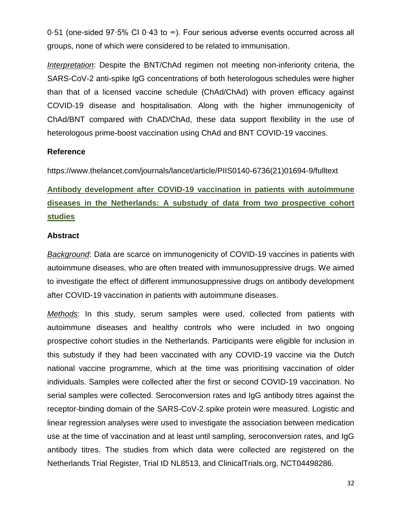0·51 (one-sided 97·5% CI 0·43 to ∞). Four serious adverse events occurred across all groups, none of which were considered to be related to immunisation.

*Interpretation*: Despite the BNT/ChAd regimen not meeting non-inferiority criteria, the SARS-CoV-2 anti-spike IgG concentrations of both heterologous schedules were higher than that of a licensed vaccine schedule (ChAd/ChAd) with proven efficacy against COVID-19 disease and hospitalisation. Along with the higher immunogenicity of ChAd/BNT compared with ChAD/ChAd, these data support flexibility in the use of heterologous prime-boost vaccination using ChAd and BNT COVID-19 vaccines.

#### **Reference**

https://www.thelancet.com/journals/lancet/article/PIIS0140-6736(21)01694-9/fulltext

**Antibody development after COVID-19 vaccination in patients with autoimmune diseases in the Netherlands: A substudy of data from two prospective cohort studies**

#### **Abstract**

*Background*: Data are scarce on immunogenicity of COVID-19 vaccines in patients with autoimmune diseases, who are often treated with immunosuppressive drugs. We aimed to investigate the effect of different immunosuppressive drugs on antibody development after COVID-19 vaccination in patients with autoimmune diseases.

*Methods*: In this study, serum samples were used, collected from patients with autoimmune diseases and healthy controls who were included in two ongoing prospective cohort studies in the Netherlands. Participants were eligible for inclusion in this substudy if they had been vaccinated with any COVID-19 vaccine via the Dutch national vaccine programme, which at the time was prioritising vaccination of older individuals. Samples were collected after the first or second COVID-19 vaccination. No serial samples were collected. Seroconversion rates and IgG antibody titres against the receptor-binding domain of the SARS-CoV-2 spike protein were measured. Logistic and linear regression analyses were used to investigate the association between medication use at the time of vaccination and at least until sampling, seroconversion rates, and IgG antibody titres. The studies from which data were collected are registered on the Netherlands Trial Register, Trial ID NL8513, and ClinicalTrials.org, NCT04498286.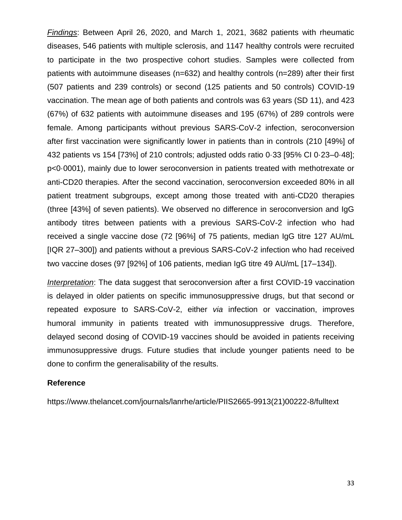*Findings*: Between April 26, 2020, and March 1, 2021, 3682 patients with rheumatic diseases, 546 patients with multiple sclerosis, and 1147 healthy controls were recruited to participate in the two prospective cohort studies. Samples were collected from patients with autoimmune diseases (n=632) and healthy controls (n=289) after their first (507 patients and 239 controls) or second (125 patients and 50 controls) COVID-19 vaccination. The mean age of both patients and controls was 63 years (SD 11), and 423 (67%) of 632 patients with autoimmune diseases and 195 (67%) of 289 controls were female. Among participants without previous SARS-CoV-2 infection, seroconversion after first vaccination were significantly lower in patients than in controls (210 [49%] of 432 patients vs 154 [73%] of 210 controls; adjusted odds ratio 0·33 [95% CI 0·23–0·48]; p<0·0001), mainly due to lower seroconversion in patients treated with methotrexate or anti-CD20 therapies. After the second vaccination, seroconversion exceeded 80% in all patient treatment subgroups, except among those treated with anti-CD20 therapies (three [43%] of seven patients). We observed no difference in seroconversion and IgG antibody titres between patients with a previous SARS-CoV-2 infection who had received a single vaccine dose (72 [96%] of 75 patients, median IgG titre 127 AU/mL [IQR 27–300]) and patients without a previous SARS-CoV-2 infection who had received two vaccine doses (97 [92%] of 106 patients, median IgG titre 49 AU/mL [17–134]).

*Interpretation*: The data suggest that seroconversion after a first COVID-19 vaccination is delayed in older patients on specific immunosuppressive drugs, but that second or repeated exposure to SARS-CoV-2, either *via* infection or vaccination, improves humoral immunity in patients treated with immunosuppressive drugs. Therefore, delayed second dosing of COVID-19 vaccines should be avoided in patients receiving immunosuppressive drugs. Future studies that include younger patients need to be done to confirm the generalisability of the results.

#### **Reference**

https://www.thelancet.com/journals/lanrhe/article/PIIS2665-9913(21)00222-8/fulltext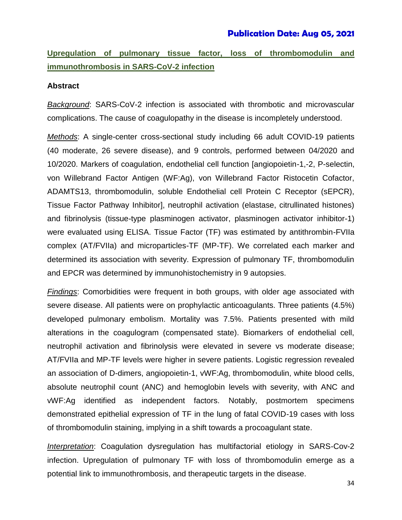#### **Publication Date: Aug 05, 2021**

### **Upregulation of pulmonary tissue factor, loss of thrombomodulin and immunothrombosis in SARS-CoV-2 infection**

#### **Abstract**

*Background*: SARS-CoV-2 infection is associated with thrombotic and microvascular complications. The cause of coagulopathy in the disease is incompletely understood.

*Methods*: A single-center cross-sectional study including 66 adult COVID-19 patients (40 moderate, 26 severe disease), and 9 controls, performed between 04/2020 and 10/2020. Markers of coagulation, endothelial cell function [angiopoietin-1,-2, P-selectin, von Willebrand Factor Antigen (WF:Ag), von Willebrand Factor Ristocetin Cofactor, ADAMTS13, thrombomodulin, soluble Endothelial cell Protein C Receptor (sEPCR), Tissue Factor Pathway Inhibitor], neutrophil activation (elastase, citrullinated histones) and fibrinolysis (tissue-type plasminogen activator, plasminogen activator inhibitor-1) were evaluated using ELISA. Tissue Factor (TF) was estimated by antithrombin-FVIIa complex (AT/FVIIa) and microparticles-TF (MP-TF). We correlated each marker and determined its association with severity. Expression of pulmonary TF, thrombomodulin and EPCR was determined by immunohistochemistry in 9 autopsies.

*Findings*: Comorbidities were frequent in both groups, with older age associated with severe disease. All patients were on prophylactic anticoagulants. Three patients (4.5%) developed pulmonary embolism. Mortality was 7.5%. Patients presented with mild alterations in the coagulogram (compensated state). Biomarkers of endothelial cell, neutrophil activation and fibrinolysis were elevated in severe vs moderate disease; AT/FVIIa and MP-TF levels were higher in severe patients. Logistic regression revealed an association of D-dimers, angiopoietin-1, vWF:Ag, thrombomodulin, white blood cells, absolute neutrophil count (ANC) and hemoglobin levels with severity, with ANC and vWF:Ag identified as independent factors. Notably, postmortem specimens demonstrated epithelial expression of TF in the lung of fatal COVID-19 cases with loss of thrombomodulin staining, implying in a shift towards a procoagulant state.

*Interpretation*: Coagulation dysregulation has multifactorial etiology in SARS-Cov-2 infection. Upregulation of pulmonary TF with loss of thrombomodulin emerge as a potential link to immunothrombosis, and therapeutic targets in the disease.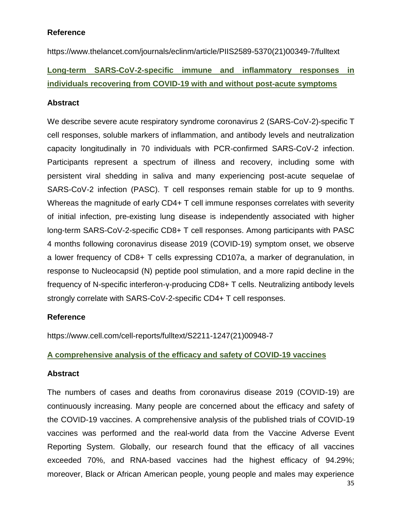#### **Reference**

https://www.thelancet.com/journals/eclinm/article/PIIS2589-5370(21)00349-7/fulltext

# **Long-term SARS-CoV-2-specific immune and inflammatory responses in individuals recovering from COVID-19 with and without post-acute symptoms**

#### **Abstract**

We describe severe acute respiratory syndrome coronavirus 2 (SARS-CoV-2)-specific T cell responses, soluble markers of inflammation, and antibody levels and neutralization capacity longitudinally in 70 individuals with PCR-confirmed SARS-CoV-2 infection. Participants represent a spectrum of illness and recovery, including some with persistent viral shedding in saliva and many experiencing post-acute sequelae of SARS-CoV-2 infection (PASC). T cell responses remain stable for up to 9 months. Whereas the magnitude of early CD4+ T cell immune responses correlates with severity of initial infection, pre-existing lung disease is independently associated with higher long-term SARS-CoV-2-specific CD8+ T cell responses. Among participants with PASC 4 months following coronavirus disease 2019 (COVID-19) symptom onset, we observe a lower frequency of CD8+ T cells expressing CD107a, a marker of degranulation, in response to Nucleocapsid (N) peptide pool stimulation, and a more rapid decline in the frequency of N-specific interferon-γ-producing CD8+ T cells. Neutralizing antibody levels strongly correlate with SARS-CoV-2-specific CD4+ T cell responses.

#### **Reference**

https://www.cell.com/cell-reports/fulltext/S2211-1247(21)00948-7

#### **A comprehensive analysis of the efficacy and safety of COVID-19 vaccines**

#### **Abstract**

The numbers of cases and deaths from coronavirus disease 2019 (COVID-19) are continuously increasing. Many people are concerned about the efficacy and safety of the COVID-19 vaccines. A comprehensive analysis of the published trials of COVID-19 vaccines was performed and the real-world data from the Vaccine Adverse Event Reporting System. Globally, our research found that the efficacy of all vaccines exceeded 70%, and RNA-based vaccines had the highest efficacy of 94.29%; moreover, Black or African American people, young people and males may experience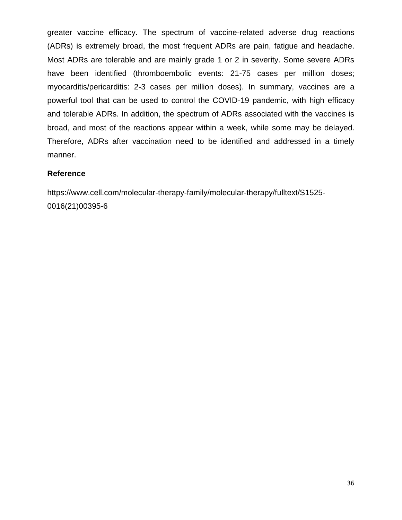greater vaccine efficacy. The spectrum of vaccine-related adverse drug reactions (ADRs) is extremely broad, the most frequent ADRs are pain, fatigue and headache. Most ADRs are tolerable and are mainly grade 1 or 2 in severity. Some severe ADRs have been identified (thromboembolic events: 21-75 cases per million doses; myocarditis/pericarditis: 2-3 cases per million doses). In summary, vaccines are a powerful tool that can be used to control the COVID-19 pandemic, with high efficacy and tolerable ADRs. In addition, the spectrum of ADRs associated with the vaccines is broad, and most of the reactions appear within a week, while some may be delayed. Therefore, ADRs after vaccination need to be identified and addressed in a timely manner.

#### **Reference**

https://www.cell.com/molecular-therapy-family/molecular-therapy/fulltext/S1525- 0016(21)00395-6